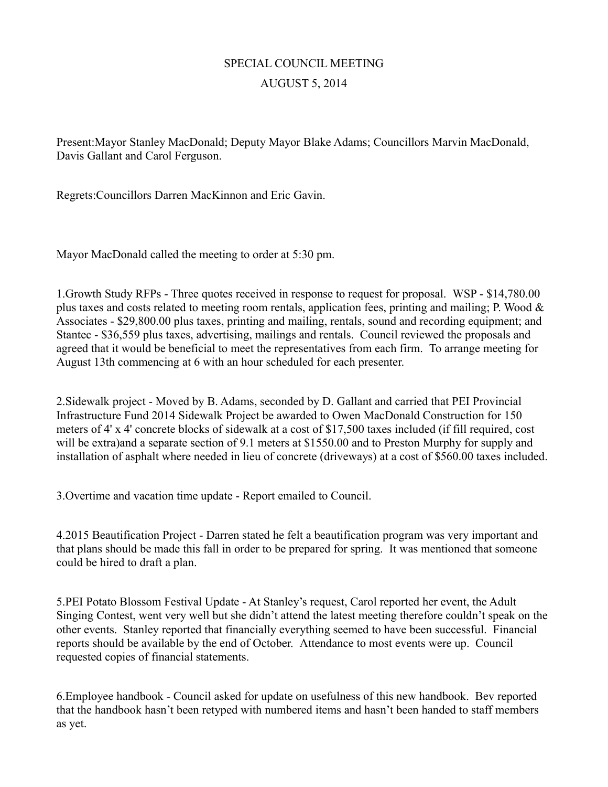## SPECIAL COUNCIL MEETING AUGUST 5, 2014

Present:Mayor Stanley MacDonald; Deputy Mayor Blake Adams; Councillors Marvin MacDonald, Davis Gallant and Carol Ferguson.

Regrets:Councillors Darren MacKinnon and Eric Gavin.

Mayor MacDonald called the meeting to order at 5:30 pm.

1.Growth Study RFPs - Three quotes received in response to request for proposal. WSP - \$14,780.00 plus taxes and costs related to meeting room rentals, application fees, printing and mailing; P. Wood  $\&$ Associates - \$29,800.00 plus taxes, printing and mailing, rentals, sound and recording equipment; and Stantec - \$36,559 plus taxes, advertising, mailings and rentals. Council reviewed the proposals and agreed that it would be beneficial to meet the representatives from each firm. To arrange meeting for August 13th commencing at 6 with an hour scheduled for each presenter.

2.Sidewalk project - Moved by B. Adams, seconded by D. Gallant and carried that PEI Provincial Infrastructure Fund 2014 Sidewalk Project be awarded to Owen MacDonald Construction for 150 meters of 4' x 4' concrete blocks of sidewalk at a cost of \$17,500 taxes included (if fill required, cost will be extra)and a separate section of 9.1 meters at \$1550.00 and to Preston Murphy for supply and installation of asphalt where needed in lieu of concrete (driveways) at a cost of \$560.00 taxes included.

3.Overtime and vacation time update - Report emailed to Council.

4.2015 Beautification Project - Darren stated he felt a beautification program was very important and that plans should be made this fall in order to be prepared for spring. It was mentioned that someone could be hired to draft a plan.

5.PEI Potato Blossom Festival Update - At Stanley's request, Carol reported her event, the Adult Singing Contest, went very well but she didn't attend the latest meeting therefore couldn't speak on the other events. Stanley reported that financially everything seemed to have been successful. Financial reports should be available by the end of October. Attendance to most events were up. Council requested copies of financial statements.

6.Employee handbook - Council asked for update on usefulness of this new handbook. Bev reported that the handbook hasn't been retyped with numbered items and hasn't been handed to staff members as yet.